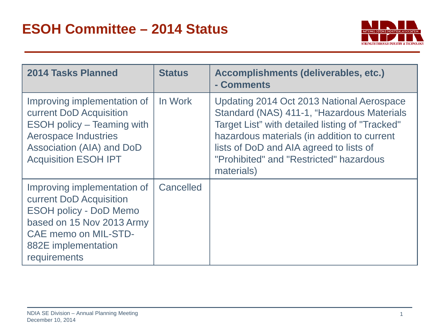

| 2014 Tasks Planned                                                                                                                                                                     | <b>Status</b> | Accomplishments (deliverables, etc.)<br>- Comments                                                                                                                                                                                                                                            |
|----------------------------------------------------------------------------------------------------------------------------------------------------------------------------------------|---------------|-----------------------------------------------------------------------------------------------------------------------------------------------------------------------------------------------------------------------------------------------------------------------------------------------|
| Improving implementation of<br>current DoD Acquisition<br><b>ESOH</b> policy – Teaming with<br><b>Aerospace Industries</b><br>Association (AIA) and DoD<br><b>Acquisition ESOH IPT</b> | In Work       | Updating 2014 Oct 2013 National Aerospace<br>Standard (NAS) 411-1, "Hazardous Materials<br>Target List" with detailed listing of "Tracked"<br>hazardous materials (in addition to current<br>lists of DoD and AIA agreed to lists of<br>"Prohibited" and "Restricted" hazardous<br>materials) |
| Improving implementation of<br>current DoD Acquisition<br><b>ESOH policy - DoD Memo</b><br>based on 15 Nov 2013 Army<br>CAE memo on MIL-STD-<br>882E implementation<br>requirements    | Cancelled     |                                                                                                                                                                                                                                                                                               |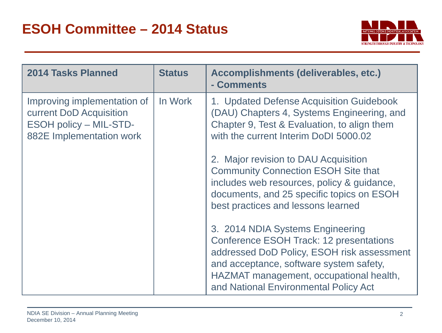

| <b>2014 Tasks Planned</b>                                                                                           | <b>Status</b>                                                                                                                                                                                                                                                   | Accomplishments (deliverables, etc.)<br>- Comments                                                                                                                                                                  |
|---------------------------------------------------------------------------------------------------------------------|-----------------------------------------------------------------------------------------------------------------------------------------------------------------------------------------------------------------------------------------------------------------|---------------------------------------------------------------------------------------------------------------------------------------------------------------------------------------------------------------------|
| Improving implementation of<br>current DoD Acquisition<br><b>ESOH policy - MIL-STD-</b><br>882E Implementation work | In Work                                                                                                                                                                                                                                                         | 1. Updated Defense Acquisition Guidebook<br>(DAU) Chapters 4, Systems Engineering, and<br>Chapter 9, Test & Evaluation, to align them<br>with the current Interim DoDI 5000.02                                      |
|                                                                                                                     |                                                                                                                                                                                                                                                                 | 2. Major revision to DAU Acquisition<br><b>Community Connection ESOH Site that</b><br>includes web resources, policy & guidance,<br>documents, and 25 specific topics on ESOH<br>best practices and lessons learned |
|                                                                                                                     | 3. 2014 NDIA Systems Engineering<br><b>Conference ESOH Track: 12 presentations</b><br>addressed DoD Policy, ESOH risk assessment<br>and acceptance, software system safety,<br>HAZMAT management, occupational health,<br>and National Environmental Policy Act |                                                                                                                                                                                                                     |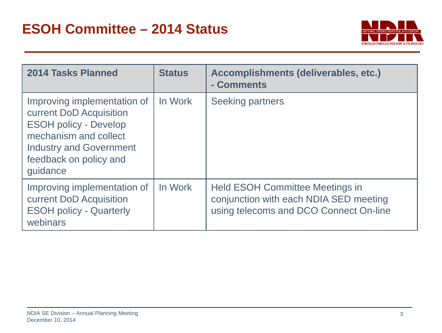

| 2014 Tasks Planned                                                                                                                                                                      | <b>Status</b> | Accomplishments (deliverables, etc.)<br>- Comments                                                                         |
|-----------------------------------------------------------------------------------------------------------------------------------------------------------------------------------------|---------------|----------------------------------------------------------------------------------------------------------------------------|
| Improving implementation of<br>current DoD Acquisition<br><b>ESOH policy - Develop</b><br>mechanism and collect<br><b>Industry and Government</b><br>feedback on policy and<br>guidance | In Work       | <b>Seeking partners</b>                                                                                                    |
| Improving implementation of<br>current DoD Acquisition<br><b>ESOH policy - Quarterly</b><br>webinars                                                                                    | In Work       | <b>Held ESOH Committee Meetings in</b><br>conjunction with each NDIA SED meeting<br>using telecoms and DCO Connect On-line |